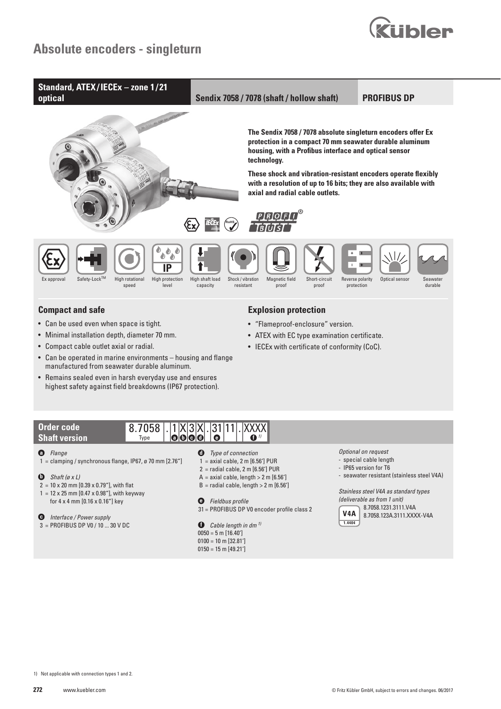



• Remains sealed even in harsh everyday use and ensures highest safety against field breakdowns (IP67 protection).

> 8.7058 Type

 $. |1|X|3|X$ **a b c d**

#### **Order code Shaft version**

## **a** *Flange*

- 1 = clamping / synchronous flange, IP67, ø 70 mm  $[2.76<sup>n</sup>]$
- **b** *Shaft (ø x L)*
- $2 = 10 \times 20$  mm  $[0.39 \times 0.79$ "], with flat
- $1 = 12 \times 25$  mm [0.47 x 0.98"], with keyway for 4 x 4 mm [0.16 x 0.16"] key

### **c** *Interface / Power supply*

3 = PROFIBUS DP V0 / 10 ... 30 V DC

- **d** *Type of connection*
- $1 =$  axial cable,  $2 \text{ m}$  [6.56'] PUR

. 31 11 . XXXX **f e** *1)*

- $2 =$  radial cable,  $2 \text{ m}$  [6.56'] PUR
- $A =$  axial cable, length > 2 m [6.56']  $B =$  radial cable, length  $> 2 \text{ m}$  [6.56']
- 
- **e** *Fieldbus profile*
- 31 = PROFIBUS DP V0 encoder profile class 2
- **f** *Cable length in dm 1)*  $0050 = 5$  m  $[16.40']$  $0100 = 10$  m [32.81']  $0150 = 15$  m  $[49.21']$

#### *Optional on request*

- special cable length
- IP65 version for T6
- seawater resistant (stainless steel V4A)

 *Stainless steel V4A as standard types (deliverable as from 1 unit)*



 8.7058.1231.3111.V4A 8.7058.123A.3111.XXXX-V4A

1) Not applicable with connection types 1 and 2.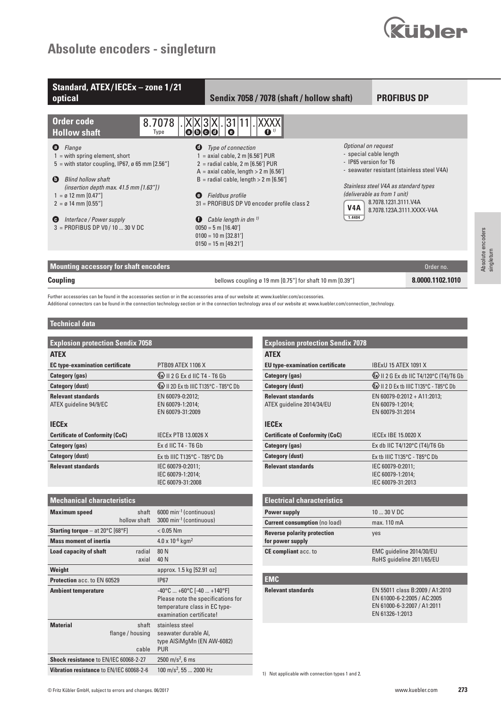# **Absolute encoders - singleturn**



| Standard, ATEX/IECEx - zone 1/21<br>optical                                                                                                                                                                                                                      | Sendix 7058 / 7078 (shaft / hollow shaft)                                                                                                                                                                                                                 |                                                                     | <b>PROFIBUS DP</b>                                                                                                                                                       |  |  |
|------------------------------------------------------------------------------------------------------------------------------------------------------------------------------------------------------------------------------------------------------------------|-----------------------------------------------------------------------------------------------------------------------------------------------------------------------------------------------------------------------------------------------------------|---------------------------------------------------------------------|--------------------------------------------------------------------------------------------------------------------------------------------------------------------------|--|--|
| <b>Order code</b><br>8.7078<br><b>Hollow shaft</b><br>Type<br>Flange<br>$\mathbf \Theta$<br>$\bf o$                                                                                                                                                              | 31 11 <br><b>XXXXI</b><br> X X 3 X <br> 0 0 0 <br>$\bullet$<br>O<br>Type of connection                                                                                                                                                                    | Optional on request                                                 |                                                                                                                                                                          |  |  |
| $1 =$ with spring element, short<br>$5$ = with stator coupling, IP67, ø 65 mm [2.56"]<br><b>Blind hollow shaft</b><br>$\bullet$<br>(insertion depth max. $41.5$ mm $[1.63"$ )<br>$1 = \emptyset$ 12 mm $[0.47"$<br>$\bullet$<br>$2 = \emptyset$ 14 mm $[0.55'']$ | $1 =$ axial cable, $2 \text{ m}$ [6.56'] PUR<br>$2 =$ radial cable, $2 \text{ m}$ [6.56'] PUR<br>$A =$ axial cable, length > 2 m [6.56']<br>$B =$ radial cable, length $> 2$ m [6.56']<br>Fieldbus profile<br>31 = PROFIBUS DP V0 encoder profile class 2 | - special cable length<br>- IP65 version for T6<br>V <sub>4</sub> A | - seawater resistant (stainless steel V4A)<br>Stainless steel V4A as standard types<br>(deliverable as from 1 unit)<br>8.7078.1231.3111.V4A<br>8.7078.123A.3111.XXXX-V4A |  |  |
| Interface / Power supply<br>o<br>Θ<br>$3 = PROFIBUS DP V0 / 10  30 V DC$                                                                                                                                                                                         | Cable length in dm <sup>1)</sup><br>$0050 = 5$ m [16.40']<br>$0100 = 10$ m [32.81']<br>$0150 = 15$ m [49.21']                                                                                                                                             | 1.4404                                                              |                                                                                                                                                                          |  |  |
| <b>Mounting accessory for shaft encoders</b>                                                                                                                                                                                                                     |                                                                                                                                                                                                                                                           |                                                                     | Order no.                                                                                                                                                                |  |  |
| Coupling                                                                                                                                                                                                                                                         | bellows coupling ø 19 mm $[0.75"$ for shaft 10 mm $[0.39"$                                                                                                                                                                                                | 8.0000.1102.1010                                                    |                                                                                                                                                                          |  |  |

Further accessories can be found in the accessories section or in the accessories area of our website at: www.kuebler.com/accessories.

Additional connectors can be found in the connection technology section or in the connection technology area of our website at: www.kuebler.com/connection\_technology.

#### **Technical data**

| <b>Explosion protection Sendix 7058</b>                      |                                                                                                                                                                                                                                                                                                                                                                                                                                                                                           | <b>Explosion protection Sendix 7078</b>                |
|--------------------------------------------------------------|-------------------------------------------------------------------------------------------------------------------------------------------------------------------------------------------------------------------------------------------------------------------------------------------------------------------------------------------------------------------------------------------------------------------------------------------------------------------------------------------|--------------------------------------------------------|
| <b>ATEX</b>                                                  |                                                                                                                                                                                                                                                                                                                                                                                                                                                                                           | <b>ATEX</b>                                            |
| <b>EC type-examination certificate</b>                       | PTB09 ATEX 1106 X                                                                                                                                                                                                                                                                                                                                                                                                                                                                         | <b>EU</b> type-examination certificate                 |
| <b>Category (gas)</b>                                        | $\xi$ $\downarrow$ $\downarrow$ $\downarrow$ $\downarrow$ $\downarrow$ $\downarrow$ $\downarrow$ $\downarrow$ $\downarrow$ $\downarrow$ $\downarrow$ $\downarrow$ $\downarrow$ $\downarrow$ $\downarrow$ $\downarrow$ $\downarrow$ $\downarrow$ $\downarrow$ $\downarrow$ $\downarrow$ $\downarrow$ $\downarrow$ $\downarrow$ $\downarrow$ $\downarrow$ $\downarrow$ $\downarrow$ $\downarrow$ $\downarrow$ $\downarrow$ $\downarrow$ $\downarrow$ $\downarrow$ $\downarrow$ $\downarrow$ | Category (gas)                                         |
| <b>Category (dust)</b>                                       | EX II 2D Ex tb IIIC T135°C - T85°C Db                                                                                                                                                                                                                                                                                                                                                                                                                                                     | <b>Category (dust)</b>                                 |
| <b>Relevant standards</b><br>ATEX quideline 94/9/EC          | EN 60079-0:2012;<br>EN 60079-1:2014;<br>EN 60079-31:2009                                                                                                                                                                                                                                                                                                                                                                                                                                  | <b>Relevant standards</b><br>ATEX quideline 2014/34/EU |
| <b>IECEx</b>                                                 |                                                                                                                                                                                                                                                                                                                                                                                                                                                                                           | <b>IECEx</b>                                           |
| <b>Certificate of Conformity (CoC)</b>                       | IECEX PTB 13.0026 X                                                                                                                                                                                                                                                                                                                                                                                                                                                                       | <b>Certificate of Conformity (CoC)</b>                 |
| Category (gas)                                               | Ex d IIC T4 - T6 Gb                                                                                                                                                                                                                                                                                                                                                                                                                                                                       | Category (gas)                                         |
| <b>Category (dust)</b>                                       | Ex tb IIIC T135°C - T85°C Db                                                                                                                                                                                                                                                                                                                                                                                                                                                              | <b>Category (dust)</b>                                 |
| <b>Relevant standards</b>                                    | IEC 60079-0:2011;<br>IEC 60079-1:2014;<br>IEC 60079-31:2008                                                                                                                                                                                                                                                                                                                                                                                                                               | <b>Relevant standards</b>                              |
| <b>Mechanical characteristics</b>                            |                                                                                                                                                                                                                                                                                                                                                                                                                                                                                           | <b>Electrical characteristics</b>                      |
| <b>Maximum speed</b><br>shaft<br>hollow shaft                | 6000 min <sup>-1</sup> (continuous)<br>3000 min <sup>-1</sup> (continuous)                                                                                                                                                                                                                                                                                                                                                                                                                | Power supply<br><b>Current consumption</b> (no load)   |
| <b>Starting torque</b> – at $20^{\circ}$ C [68 $^{\circ}$ F] | $< 0.05$ Nm                                                                                                                                                                                                                                                                                                                                                                                                                                                                               | <b>Reverse polarity protection</b>                     |
| <b>Mass moment of inertia</b>                                | $4.0 \times 10^{-6}$ kgm <sup>2</sup>                                                                                                                                                                                                                                                                                                                                                                                                                                                     | for power supply                                       |
| radial<br><b>Load capacity of shaft</b><br>axial             | 80N<br>40 N                                                                                                                                                                                                                                                                                                                                                                                                                                                                               | CE compliant acc. to                                   |
| Weight                                                       | approx. 1.5 kg [52.91 oz]                                                                                                                                                                                                                                                                                                                                                                                                                                                                 |                                                        |
| Protection acc. to EN 60529                                  | <b>IP67</b>                                                                                                                                                                                                                                                                                                                                                                                                                                                                               | <b>EMC</b>                                             |
| <b>Ambient temperature</b>                                   | $-40^{\circ}$ C $+60^{\circ}$ C [ $-40$ $+140^{\circ}$ F]<br>Please note the specifications for<br>temperature class in EC type-<br>examination certificate!                                                                                                                                                                                                                                                                                                                              | <b>Relevant standards</b>                              |
| <b>Material</b><br>shaft<br>flange / housing<br>cable        | stainless steel<br>seawater durable Al,<br>type AISiMgMn (EN AW-6082)<br><b>PUR</b>                                                                                                                                                                                                                                                                                                                                                                                                       |                                                        |
| Shock resistance to EN/IEC 60068-2-27                        | 2500 m/s <sup>2</sup> , 6 ms                                                                                                                                                                                                                                                                                                                                                                                                                                                              |                                                        |

| <b>Explosion protection Sendix 7078</b> |                                                |
|-----------------------------------------|------------------------------------------------|
| <b>ATFX</b>                             |                                                |
| <b>EU</b> type-examination certificate  | <b>IBExU 15 ATEX 1091 X</b>                    |
| Category (gas)                          | <b>Ex</b> II 2 G Ex db IIC T4/120°C (T4)/T6 Gb |
| <b>Category (dust)</b>                  | <b>Ex</b> II 2 D Ex th IIIC T135°C - T85°C Db  |
| <b>Relevant standards</b>               | EN 60079-0:2012 + A11:2013;                    |
| ATEX quideline 2014/34/EU               | EN 60079-1:2014;                               |
|                                         | EN 60079-31:2014                               |
| <b>IFCFx</b>                            |                                                |
| <b>Certificate of Conformity (CoC)</b>  | IECEX IBE 15,0020 X                            |
| Category (gas)                          | Ex db IIC T4/120°C (T4)/T6 Gb                  |
| <b>Category (dust)</b>                  | Ex th IIIC T135°C - T85°C Db                   |
| <b>Relevant standards</b>               | IEC 60079-0:2011;                              |
|                                         | IEC 60079-1:2014;                              |
|                                         | IEC 60079-31:2013                              |
|                                         |                                                |
| <b>Electrical characteristics</b>       |                                                |
| <b>Power supply</b>                     | $1030$ V DC                                    |
| <b>Current consumption (no load)</b>    | max. 110 mA                                    |
| <b>Reverse polarity protection</b>      | yes                                            |
| for power supply                        |                                                |
| CE compliant acc. to                    | EMC quideline 2014/30/EU                       |
|                                         | RoHS quideline 2011/65/EU                      |
|                                         |                                                |
| <b>EMC</b>                              |                                                |
| <b>Relevant standards</b>               | EN 55011 class B:2009 / A1:2010                |
|                                         | EN 61000-6-2:2005 / AC:2005                    |
|                                         | EN 61000-6-3:2007 / A1:2011                    |
|                                         | EN 61326-1:2013                                |
|                                         |                                                |

**Vibration resistance** to EN/IEC 60068-2-6 100 m/s<sup>2</sup>, 55 ... 2000 Hz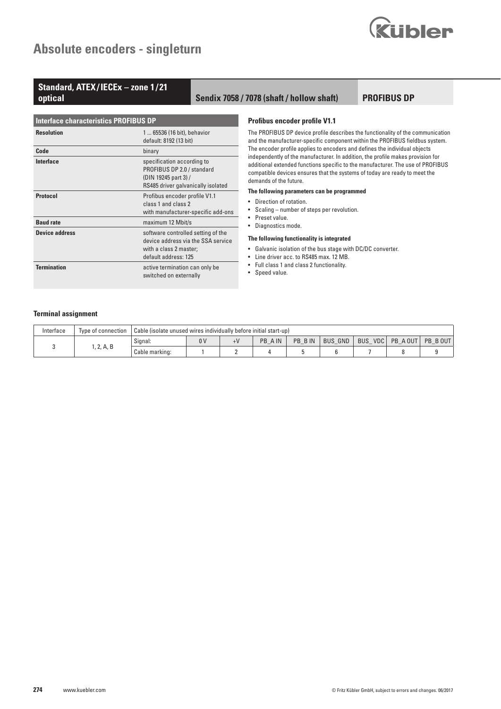

# Standard, ATEX/IECEx – zone 1/21<br>optical

## **optical Sendix 7058 / 7078 (shaft / hollow shaft)**

**PROFIBUS DP**

| <b>Interface characteristics PROFIBUS DP</b> |                                                                                                                            |  |  |  |
|----------------------------------------------|----------------------------------------------------------------------------------------------------------------------------|--|--|--|
| <b>Resolution</b>                            | 1  65536 (16 bit), behavior<br>default: 8192 (13 bit)                                                                      |  |  |  |
| Code                                         | binary                                                                                                                     |  |  |  |
| Interface                                    | specification according to<br>PROFIBUS DP 2.0 / standard<br>(DIN 19245 part 3) /<br>RS485 driver galvanically isolated     |  |  |  |
| <b>Protocol</b>                              | Profibus encoder profile V1.1<br>class 1 and class 2<br>with manufacturer-specific add-ons                                 |  |  |  |
| <b>Baud rate</b>                             | maximum 12 Mbit/s                                                                                                          |  |  |  |
| <b>Device address</b>                        | software controlled setting of the<br>device address via the SSA service<br>with a class 2 master;<br>default address: 125 |  |  |  |
| <b>Termination</b>                           | active termination can only be<br>switched on externally                                                                   |  |  |  |

#### **Profibus encoder profile V1.1**

The PROFIBUS DP device profile describes the functionality of the communication and the manufacturer-specific component within the PROFIBUS fieldbus system. The encoder profile applies to encoders and defines the individual objects independently of the manufacturer. In addition, the profile makes provision for additional extended functions specific to the manufacturer. The use of PROFIBUS compatible devices ensures that the systems of today are ready to meet the demands of the future.

#### **The following parameters can be programmed**

- Direction of rotation.
- Scaling number of steps per revolution.
- Preset value.
- Diagnostics mode.

#### **The following functionality is integrated**

- Galvanic isolation of the bus stage with DC/DC converter.
- Line driver acc. to RS485 max. 12 MB.
- Full class 1 and class 2 functionality.
- Speed value.

#### **Terminal assignment**

| Interface | Type of connection | Cable (isolate unused wires individually before initial start-up) |                |      |         |         |                |                   |         |         |
|-----------|--------------------|-------------------------------------------------------------------|----------------|------|---------|---------|----------------|-------------------|---------|---------|
|           | , 2, A, B          | Signal:                                                           | 0 <sup>V</sup> | $+V$ | PB A IN | PB B IN | <b>BUS GND</b> | <b>BUS</b><br>VDC | PB AOUT | PB BOUT |
|           |                    | Cable marking:                                                    |                |      |         |         |                |                   |         |         |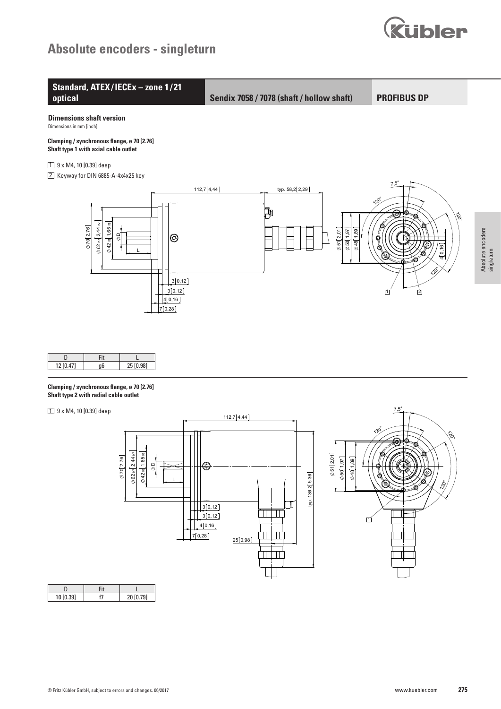## Absolute encoders - singleturn





yp. 136,2[5,36]

 $\boxed{1}$ 

 $\Box$ 

TTTTTT

 $\mathbf{1}$   $\mathbf{1}$   $\mathbf{1}$ 

 $25[0,98]$ 

© Fritz Kübler GmbH, subject to errors and changes. 06/2017

 $\frac{1}{3}$ [0,12]

 $\begin{bmatrix} 3[0,12] \end{bmatrix}$ 

 $4[0,16]$  $7[0,28]$